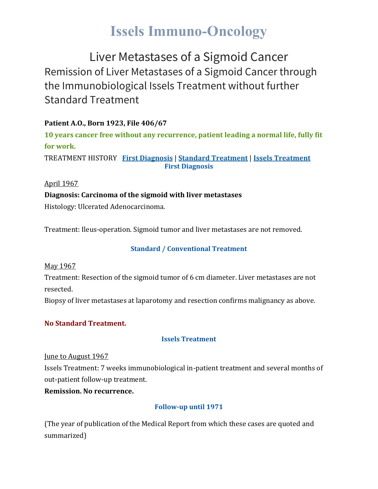## **Issels Immuno-Oncology**

Liver Metastases of a Sigmoid Cancer Remission of Liver Metastases of a Sigmoid Cancer through the Immunobiological Issels Treatment without further Standard Treatment

#### **Patient A.O., Born 1923, File 406/67**

**10 years cancer free without any recurrence, patient leading a normal life, fully fit for work.** TREATMENT HISTORY **First [Diagnosis](https://issels.com/cancer-cases/liver-3-metastases-of-sigmoid-cancer/#First)** | **Standard [Treatment](https://issels.com/cancer-cases/liver-3-metastases-of-sigmoid-cancer/#Standard)** | **Issels [Treatment](https://issels.com/cancer-cases/liver-3-metastases-of-sigmoid-cancer/#Issels)**

**First Diagnosis**

April 1967

**Diagnosis: Carcinoma of the sigmoid with liver metastases**

Histology: Ulcerated Adenocarcinoma.

Treatment: Ileus-operation. Sigmoid tumor and liver metastases are not removed.

#### **Standard / Conventional Treatment**

May 1967

Treatment: Resection of the sigmoid tumor of 6 cm diameter. Liver metastases are not resected.

Biopsy of liver metastases at laparotomy and resection confirms malignancy as above.

#### **No Standard Treatment.**

#### **Issels Treatment**

June to August 1967

Issels Treatment: 7 weeks immunobiological in-patient treatment and several months of out-patient follow-up treatment.

**Remission. No recurrence.**

#### **Follow-up until 1971**

(The year of publication of the Medical Report from which these cases are quoted and summarized)